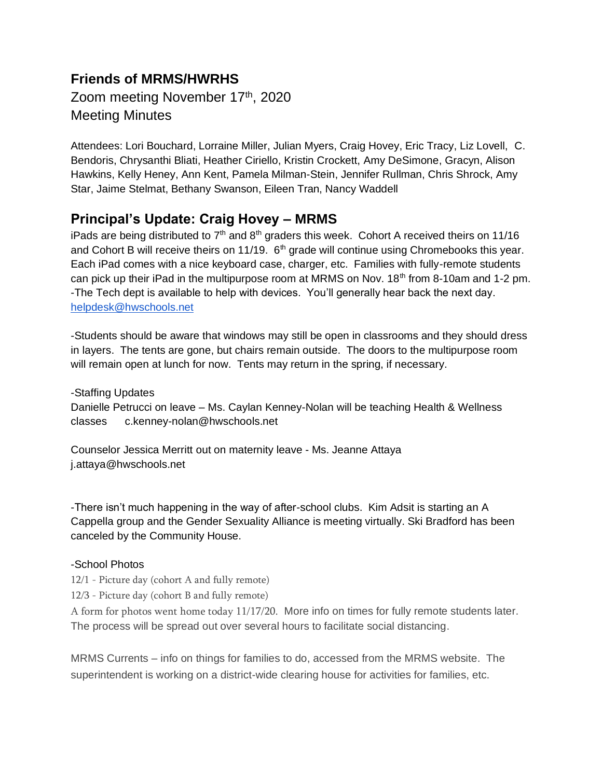# **Friends of MRMS/HWRHS**  Zoom meeting November 17th, 2020 Meeting Minutes

Attendees: Lori Bouchard, Lorraine Miller, Julian Myers, Craig Hovey, Eric Tracy, Liz Lovell, C. Bendoris, Chrysanthi Bliati, Heather Ciriello, Kristin Crockett, Amy DeSimone, Gracyn, Alison Hawkins, Kelly Heney, Ann Kent, Pamela Milman-Stein, Jennifer Rullman, Chris Shrock, Amy Star, Jaime Stelmat, Bethany Swanson, Eileen Tran, Nancy Waddell

## **Principal's Update: Craig Hovey – MRMS**

iPads are being distributed to  $7<sup>th</sup>$  and  $8<sup>th</sup>$  graders this week. Cohort A received theirs on 11/16 and Cohort B will receive theirs on 11/19.  $6<sup>th</sup>$  grade will continue using Chromebooks this year. Each iPad comes with a nice keyboard case, charger, etc. Families with fully-remote students can pick up their iPad in the multipurpose room at MRMS on Nov.  $18<sup>th</sup>$  from 8-10am and 1-2 pm. -The Tech dept is available to help with devices. You'll generally hear back the next day. [helpdesk@hwschools.net](mailto:helpdesk@hwschools.net)

-Students should be aware that windows may still be open in classrooms and they should dress in layers. The tents are gone, but chairs remain outside. The doors to the multipurpose room will remain open at lunch for now. Tents may return in the spring, if necessary.

-Staffing Updates Danielle Petrucci on leave – Ms. Caylan Kenney-Nolan will be teaching Health & Wellness classes c.kenney-nolan@hwschools.net

Counselor Jessica Merritt out on maternity leave - Ms. Jeanne Attaya j.attaya@hwschools.net

-There isn't much happening in the way of after-school clubs. Kim Adsit is starting an A Cappella group and the Gender Sexuality Alliance is meeting virtually. Ski Bradford has been canceled by the Community House.

#### -School Photos

12/1 - Picture day (cohort A and fully remote)

12/3 - Picture day (cohort B and fully remote)

A form for photos went home today 11/17/20. More info on times for fully remote students later. The process will be spread out over several hours to facilitate social distancing.

MRMS Currents – info on things for families to do, accessed from the MRMS website. The superintendent is working on a district-wide clearing house for activities for families, etc.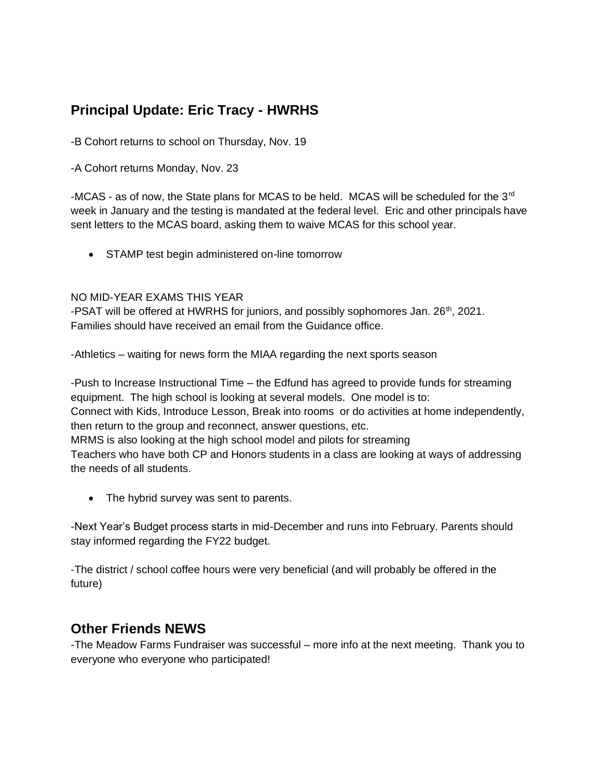# **Principal Update: Eric Tracy - HWRHS**

-B Cohort returns to school on Thursday, Nov. 19

-A Cohort returns Monday, Nov. 23

-MCAS - as of now, the State plans for MCAS to be held. MCAS will be scheduled for the 3<sup>rd</sup> week in January and the testing is mandated at the federal level. Eric and other principals have sent letters to the MCAS board, asking them to waive MCAS for this school year.

• STAMP test begin administered on-line tomorrow

#### NO MID-YEAR EXAMS THIS YEAR

-PSAT will be offered at HWRHS for juniors, and possibly sophomores Jan.  $26<sup>th</sup>$ , 2021. Families should have received an email from the Guidance office.

-Athletics – waiting for news form the MIAA regarding the next sports season

-Push to Increase Instructional Time – the Edfund has agreed to provide funds for streaming equipment. The high school is looking at several models. One model is to:

Connect with Kids, Introduce Lesson, Break into rooms or do activities at home independently, then return to the group and reconnect, answer questions, etc.

MRMS is also looking at the high school model and pilots for streaming

Teachers who have both CP and Honors students in a class are looking at ways of addressing the needs of all students.

• The hybrid survey was sent to parents.

-Next Year's Budget process starts in mid-December and runs into February. Parents should stay informed regarding the FY22 budget.

-The district / school coffee hours were very beneficial (and will probably be offered in the future)

## **Other Friends NEWS**

-The Meadow Farms Fundraiser was successful – more info at the next meeting. Thank you to everyone who everyone who participated!